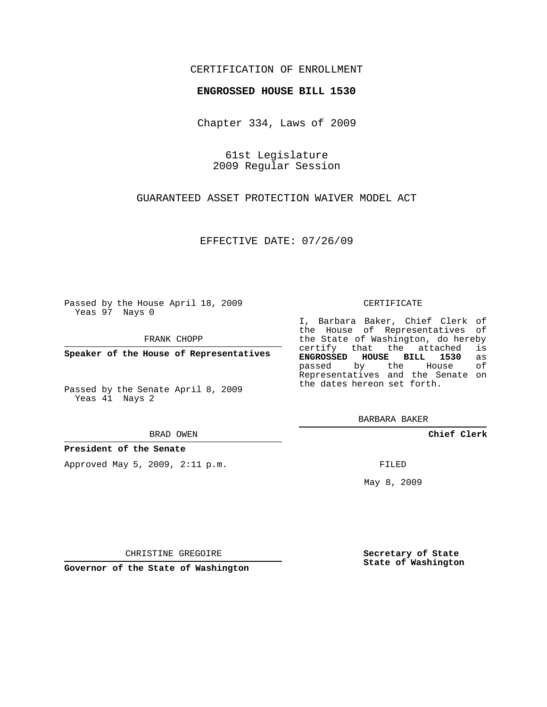### CERTIFICATION OF ENROLLMENT

### **ENGROSSED HOUSE BILL 1530**

Chapter 334, Laws of 2009

61st Legislature 2009 Regular Session

GUARANTEED ASSET PROTECTION WAIVER MODEL ACT

EFFECTIVE DATE: 07/26/09

Passed by the House April 18, 2009 Yeas 97 Nays 0

FRANK CHOPP

**Speaker of the House of Representatives**

Passed by the Senate April 8, 2009 Yeas 41 Nays 2

BRAD OWEN

**President of the Senate**

Approved May 5, 2009, 2:11 p.m.

#### CERTIFICATE

I, Barbara Baker, Chief Clerk of the House of Representatives of the State of Washington, do hereby<br>certify that the attached is certify that the attached **ENGROSSED HOUSE BILL 1530** as passed by the House Representatives and the Senate on the dates hereon set forth.

BARBARA BAKER

**Chief Clerk**

FILED

May 8, 2009

**Secretary of State State of Washington**

CHRISTINE GREGOIRE

**Governor of the State of Washington**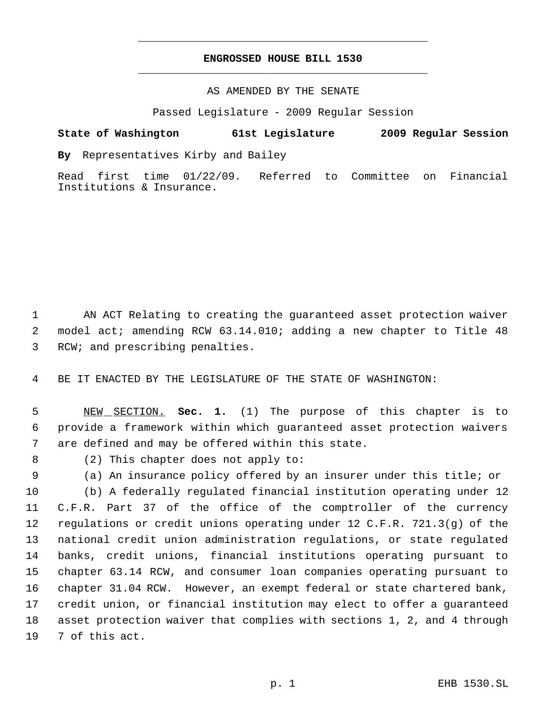## **ENGROSSED HOUSE BILL 1530** \_\_\_\_\_\_\_\_\_\_\_\_\_\_\_\_\_\_\_\_\_\_\_\_\_\_\_\_\_\_\_\_\_\_\_\_\_\_\_\_\_\_\_\_\_

\_\_\_\_\_\_\_\_\_\_\_\_\_\_\_\_\_\_\_\_\_\_\_\_\_\_\_\_\_\_\_\_\_\_\_\_\_\_\_\_\_\_\_\_\_

### AS AMENDED BY THE SENATE

Passed Legislature - 2009 Regular Session

# **State of Washington 61st Legislature 2009 Regular Session**

**By** Representatives Kirby and Bailey

Read first time 01/22/09. Referred to Committee on Financial Institutions & Insurance.

 AN ACT Relating to creating the guaranteed asset protection waiver model act; amending RCW 63.14.010; adding a new chapter to Title 48 RCW; and prescribing penalties.

BE IT ENACTED BY THE LEGISLATURE OF THE STATE OF WASHINGTON:

 NEW SECTION. **Sec. 1.** (1) The purpose of this chapter is to provide a framework within which guaranteed asset protection waivers are defined and may be offered within this state.

(2) This chapter does not apply to:

(a) An insurance policy offered by an insurer under this title; or

 (b) A federally regulated financial institution operating under 12 C.F.R. Part 37 of the office of the comptroller of the currency regulations or credit unions operating under 12 C.F.R. 721.3(g) of the national credit union administration regulations, or state regulated banks, credit unions, financial institutions operating pursuant to chapter 63.14 RCW, and consumer loan companies operating pursuant to chapter 31.04 RCW. However, an exempt federal or state chartered bank, credit union, or financial institution may elect to offer a guaranteed asset protection waiver that complies with sections 1, 2, and 4 through 7 of this act.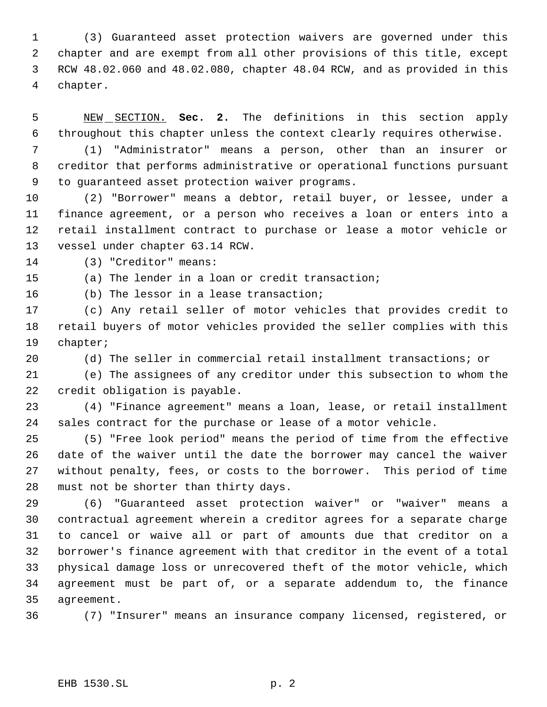(3) Guaranteed asset protection waivers are governed under this chapter and are exempt from all other provisions of this title, except RCW 48.02.060 and 48.02.080, chapter 48.04 RCW, and as provided in this chapter.

 NEW SECTION. **Sec. 2.** The definitions in this section apply throughout this chapter unless the context clearly requires otherwise.

 (1) "Administrator" means a person, other than an insurer or creditor that performs administrative or operational functions pursuant to guaranteed asset protection waiver programs.

 (2) "Borrower" means a debtor, retail buyer, or lessee, under a finance agreement, or a person who receives a loan or enters into a retail installment contract to purchase or lease a motor vehicle or vessel under chapter 63.14 RCW.

(3) "Creditor" means:

(a) The lender in a loan or credit transaction;

(b) The lessor in a lease transaction;

 (c) Any retail seller of motor vehicles that provides credit to retail buyers of motor vehicles provided the seller complies with this chapter;

(d) The seller in commercial retail installment transactions; or

 (e) The assignees of any creditor under this subsection to whom the credit obligation is payable.

 (4) "Finance agreement" means a loan, lease, or retail installment sales contract for the purchase or lease of a motor vehicle.

 (5) "Free look period" means the period of time from the effective date of the waiver until the date the borrower may cancel the waiver without penalty, fees, or costs to the borrower. This period of time must not be shorter than thirty days.

 (6) "Guaranteed asset protection waiver" or "waiver" means a contractual agreement wherein a creditor agrees for a separate charge to cancel or waive all or part of amounts due that creditor on a borrower's finance agreement with that creditor in the event of a total physical damage loss or unrecovered theft of the motor vehicle, which agreement must be part of, or a separate addendum to, the finance agreement.

(7) "Insurer" means an insurance company licensed, registered, or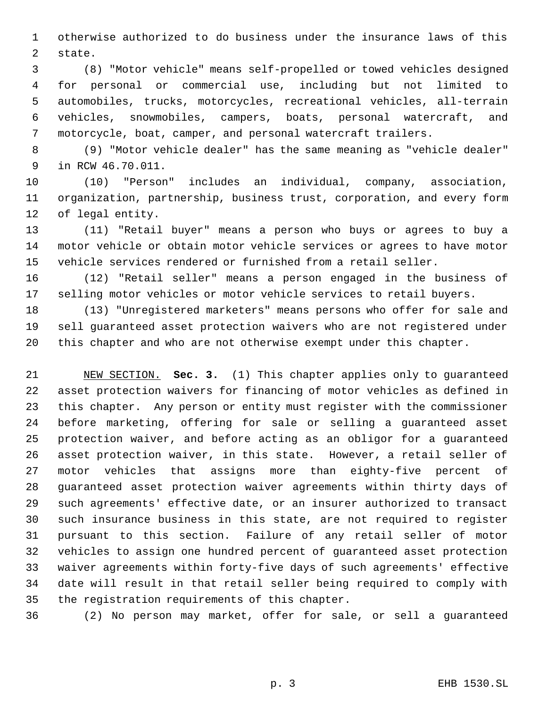otherwise authorized to do business under the insurance laws of this state.

 (8) "Motor vehicle" means self-propelled or towed vehicles designed for personal or commercial use, including but not limited to automobiles, trucks, motorcycles, recreational vehicles, all-terrain vehicles, snowmobiles, campers, boats, personal watercraft, and motorcycle, boat, camper, and personal watercraft trailers.

 (9) "Motor vehicle dealer" has the same meaning as "vehicle dealer" in RCW 46.70.011.

 (10) "Person" includes an individual, company, association, organization, partnership, business trust, corporation, and every form of legal entity.

 (11) "Retail buyer" means a person who buys or agrees to buy a motor vehicle or obtain motor vehicle services or agrees to have motor vehicle services rendered or furnished from a retail seller.

 (12) "Retail seller" means a person engaged in the business of selling motor vehicles or motor vehicle services to retail buyers.

 (13) "Unregistered marketers" means persons who offer for sale and sell guaranteed asset protection waivers who are not registered under this chapter and who are not otherwise exempt under this chapter.

 NEW SECTION. **Sec. 3.** (1) This chapter applies only to guaranteed asset protection waivers for financing of motor vehicles as defined in this chapter. Any person or entity must register with the commissioner before marketing, offering for sale or selling a guaranteed asset protection waiver, and before acting as an obligor for a guaranteed asset protection waiver, in this state. However, a retail seller of motor vehicles that assigns more than eighty-five percent of guaranteed asset protection waiver agreements within thirty days of such agreements' effective date, or an insurer authorized to transact such insurance business in this state, are not required to register pursuant to this section. Failure of any retail seller of motor vehicles to assign one hundred percent of guaranteed asset protection waiver agreements within forty-five days of such agreements' effective date will result in that retail seller being required to comply with the registration requirements of this chapter.

(2) No person may market, offer for sale, or sell a guaranteed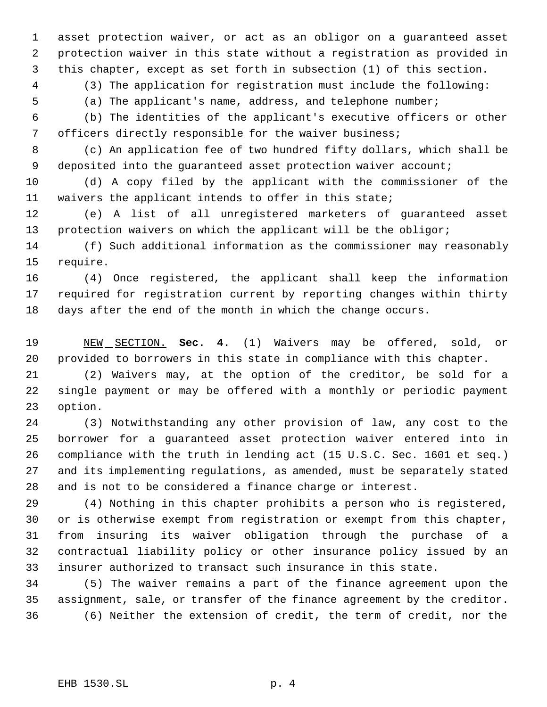asset protection waiver, or act as an obligor on a guaranteed asset protection waiver in this state without a registration as provided in this chapter, except as set forth in subsection (1) of this section.

(3) The application for registration must include the following:

(a) The applicant's name, address, and telephone number;

 (b) The identities of the applicant's executive officers or other officers directly responsible for the waiver business;

 (c) An application fee of two hundred fifty dollars, which shall be 9 deposited into the guaranteed asset protection waiver account;

 (d) A copy filed by the applicant with the commissioner of the waivers the applicant intends to offer in this state;

 (e) A list of all unregistered marketers of guaranteed asset protection waivers on which the applicant will be the obligor;

 (f) Such additional information as the commissioner may reasonably require.

 (4) Once registered, the applicant shall keep the information required for registration current by reporting changes within thirty days after the end of the month in which the change occurs.

 NEW SECTION. **Sec. 4.** (1) Waivers may be offered, sold, or provided to borrowers in this state in compliance with this chapter.

 (2) Waivers may, at the option of the creditor, be sold for a single payment or may be offered with a monthly or periodic payment option.

 (3) Notwithstanding any other provision of law, any cost to the borrower for a guaranteed asset protection waiver entered into in compliance with the truth in lending act (15 U.S.C. Sec. 1601 et seq.) and its implementing regulations, as amended, must be separately stated and is not to be considered a finance charge or interest.

 (4) Nothing in this chapter prohibits a person who is registered, or is otherwise exempt from registration or exempt from this chapter, from insuring its waiver obligation through the purchase of a contractual liability policy or other insurance policy issued by an insurer authorized to transact such insurance in this state.

 (5) The waiver remains a part of the finance agreement upon the assignment, sale, or transfer of the finance agreement by the creditor. (6) Neither the extension of credit, the term of credit, nor the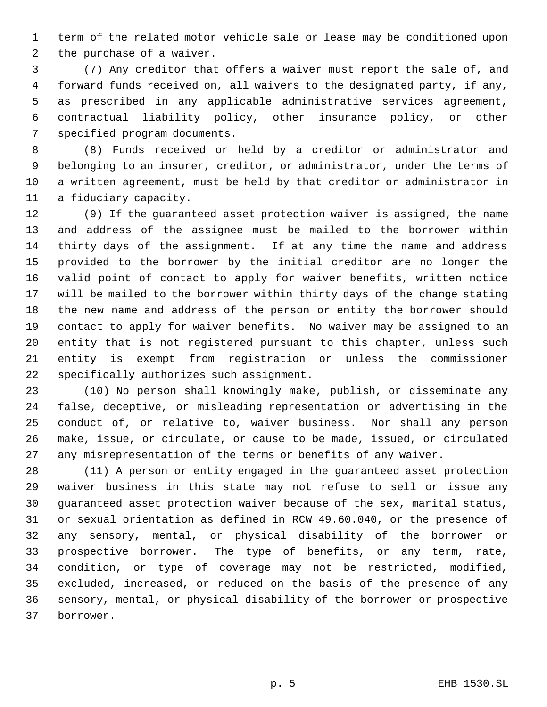term of the related motor vehicle sale or lease may be conditioned upon the purchase of a waiver.

 (7) Any creditor that offers a waiver must report the sale of, and forward funds received on, all waivers to the designated party, if any, as prescribed in any applicable administrative services agreement, contractual liability policy, other insurance policy, or other specified program documents.

 (8) Funds received or held by a creditor or administrator and belonging to an insurer, creditor, or administrator, under the terms of a written agreement, must be held by that creditor or administrator in a fiduciary capacity.

 (9) If the guaranteed asset protection waiver is assigned, the name and address of the assignee must be mailed to the borrower within thirty days of the assignment. If at any time the name and address provided to the borrower by the initial creditor are no longer the valid point of contact to apply for waiver benefits, written notice will be mailed to the borrower within thirty days of the change stating the new name and address of the person or entity the borrower should contact to apply for waiver benefits. No waiver may be assigned to an entity that is not registered pursuant to this chapter, unless such entity is exempt from registration or unless the commissioner specifically authorizes such assignment.

 (10) No person shall knowingly make, publish, or disseminate any false, deceptive, or misleading representation or advertising in the conduct of, or relative to, waiver business. Nor shall any person make, issue, or circulate, or cause to be made, issued, or circulated any misrepresentation of the terms or benefits of any waiver.

 (11) A person or entity engaged in the guaranteed asset protection waiver business in this state may not refuse to sell or issue any guaranteed asset protection waiver because of the sex, marital status, or sexual orientation as defined in RCW 49.60.040, or the presence of any sensory, mental, or physical disability of the borrower or prospective borrower. The type of benefits, or any term, rate, condition, or type of coverage may not be restricted, modified, excluded, increased, or reduced on the basis of the presence of any sensory, mental, or physical disability of the borrower or prospective borrower.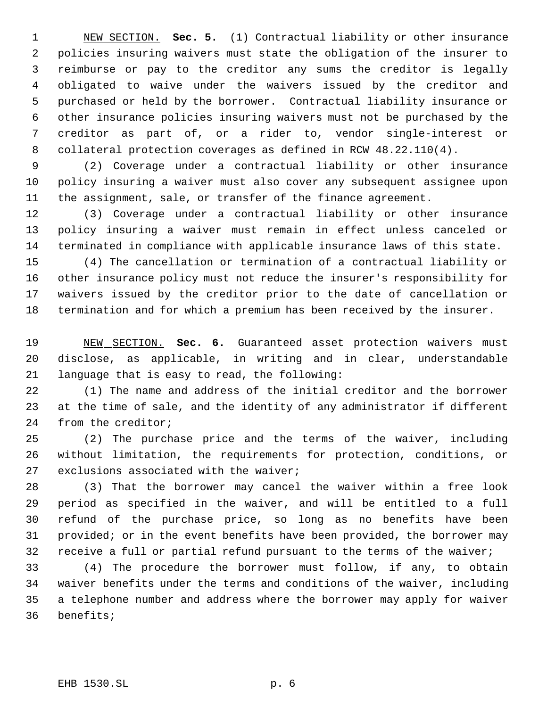NEW SECTION. **Sec. 5.** (1) Contractual liability or other insurance policies insuring waivers must state the obligation of the insurer to reimburse or pay to the creditor any sums the creditor is legally obligated to waive under the waivers issued by the creditor and purchased or held by the borrower. Contractual liability insurance or other insurance policies insuring waivers must not be purchased by the creditor as part of, or a rider to, vendor single-interest or collateral protection coverages as defined in RCW 48.22.110(4).

 (2) Coverage under a contractual liability or other insurance policy insuring a waiver must also cover any subsequent assignee upon the assignment, sale, or transfer of the finance agreement.

 (3) Coverage under a contractual liability or other insurance policy insuring a waiver must remain in effect unless canceled or terminated in compliance with applicable insurance laws of this state.

 (4) The cancellation or termination of a contractual liability or other insurance policy must not reduce the insurer's responsibility for waivers issued by the creditor prior to the date of cancellation or termination and for which a premium has been received by the insurer.

 NEW SECTION. **Sec. 6.** Guaranteed asset protection waivers must disclose, as applicable, in writing and in clear, understandable language that is easy to read, the following:

 (1) The name and address of the initial creditor and the borrower at the time of sale, and the identity of any administrator if different from the creditor;

 (2) The purchase price and the terms of the waiver, including without limitation, the requirements for protection, conditions, or exclusions associated with the waiver;

 (3) That the borrower may cancel the waiver within a free look period as specified in the waiver, and will be entitled to a full refund of the purchase price, so long as no benefits have been provided; or in the event benefits have been provided, the borrower may receive a full or partial refund pursuant to the terms of the waiver;

 (4) The procedure the borrower must follow, if any, to obtain waiver benefits under the terms and conditions of the waiver, including a telephone number and address where the borrower may apply for waiver benefits;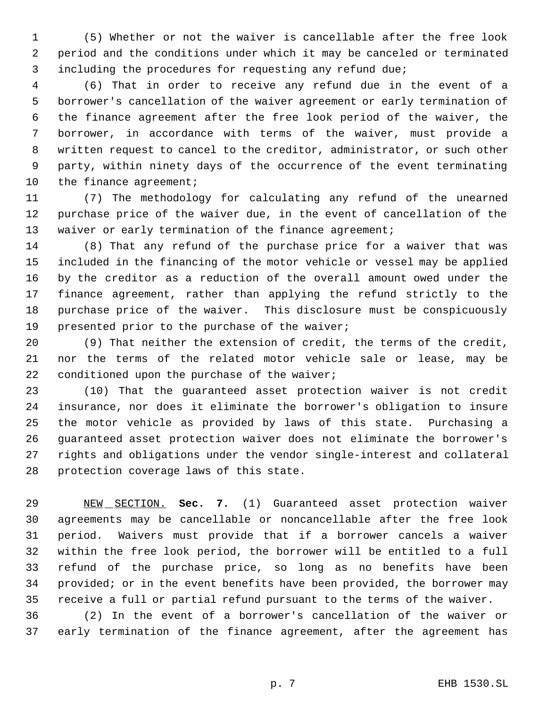(5) Whether or not the waiver is cancellable after the free look period and the conditions under which it may be canceled or terminated including the procedures for requesting any refund due;

 (6) That in order to receive any refund due in the event of a borrower's cancellation of the waiver agreement or early termination of the finance agreement after the free look period of the waiver, the borrower, in accordance with terms of the waiver, must provide a written request to cancel to the creditor, administrator, or such other party, within ninety days of the occurrence of the event terminating 10 the finance agreement;

 (7) The methodology for calculating any refund of the unearned purchase price of the waiver due, in the event of cancellation of the 13 waiver or early termination of the finance agreement;

 (8) That any refund of the purchase price for a waiver that was included in the financing of the motor vehicle or vessel may be applied by the creditor as a reduction of the overall amount owed under the finance agreement, rather than applying the refund strictly to the purchase price of the waiver. This disclosure must be conspicuously presented prior to the purchase of the waiver;

 (9) That neither the extension of credit, the terms of the credit, nor the terms of the related motor vehicle sale or lease, may be conditioned upon the purchase of the waiver;

 (10) That the guaranteed asset protection waiver is not credit insurance, nor does it eliminate the borrower's obligation to insure the motor vehicle as provided by laws of this state. Purchasing a guaranteed asset protection waiver does not eliminate the borrower's rights and obligations under the vendor single-interest and collateral protection coverage laws of this state.

 NEW SECTION. **Sec. 7.** (1) Guaranteed asset protection waiver agreements may be cancellable or noncancellable after the free look period. Waivers must provide that if a borrower cancels a waiver within the free look period, the borrower will be entitled to a full refund of the purchase price, so long as no benefits have been provided; or in the event benefits have been provided, the borrower may receive a full or partial refund pursuant to the terms of the waiver.

 (2) In the event of a borrower's cancellation of the waiver or early termination of the finance agreement, after the agreement has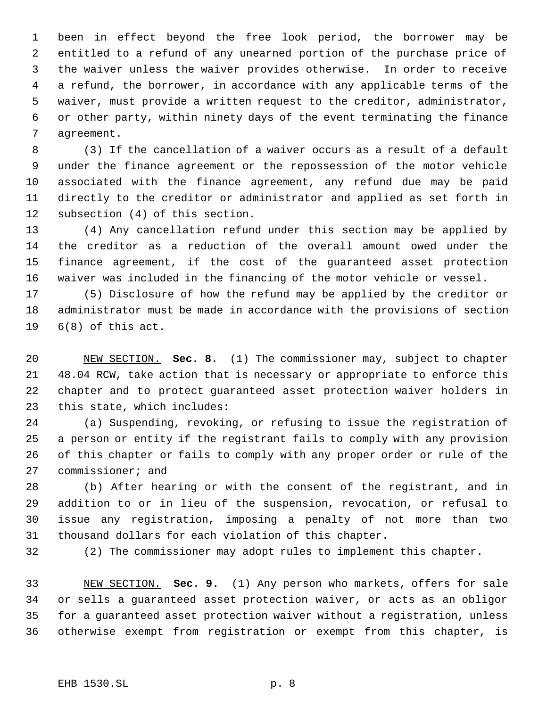been in effect beyond the free look period, the borrower may be entitled to a refund of any unearned portion of the purchase price of the waiver unless the waiver provides otherwise. In order to receive a refund, the borrower, in accordance with any applicable terms of the waiver, must provide a written request to the creditor, administrator, or other party, within ninety days of the event terminating the finance agreement.

 (3) If the cancellation of a waiver occurs as a result of a default under the finance agreement or the repossession of the motor vehicle associated with the finance agreement, any refund due may be paid directly to the creditor or administrator and applied as set forth in subsection (4) of this section.

 (4) Any cancellation refund under this section may be applied by the creditor as a reduction of the overall amount owed under the finance agreement, if the cost of the guaranteed asset protection waiver was included in the financing of the motor vehicle or vessel.

 (5) Disclosure of how the refund may be applied by the creditor or administrator must be made in accordance with the provisions of section 6(8) of this act.

 NEW SECTION. **Sec. 8.** (1) The commissioner may, subject to chapter 48.04 RCW, take action that is necessary or appropriate to enforce this chapter and to protect guaranteed asset protection waiver holders in this state, which includes:

 (a) Suspending, revoking, or refusing to issue the registration of a person or entity if the registrant fails to comply with any provision of this chapter or fails to comply with any proper order or rule of the commissioner; and

 (b) After hearing or with the consent of the registrant, and in addition to or in lieu of the suspension, revocation, or refusal to issue any registration, imposing a penalty of not more than two thousand dollars for each violation of this chapter.

(2) The commissioner may adopt rules to implement this chapter.

 NEW SECTION. **Sec. 9.** (1) Any person who markets, offers for sale or sells a guaranteed asset protection waiver, or acts as an obligor for a guaranteed asset protection waiver without a registration, unless otherwise exempt from registration or exempt from this chapter, is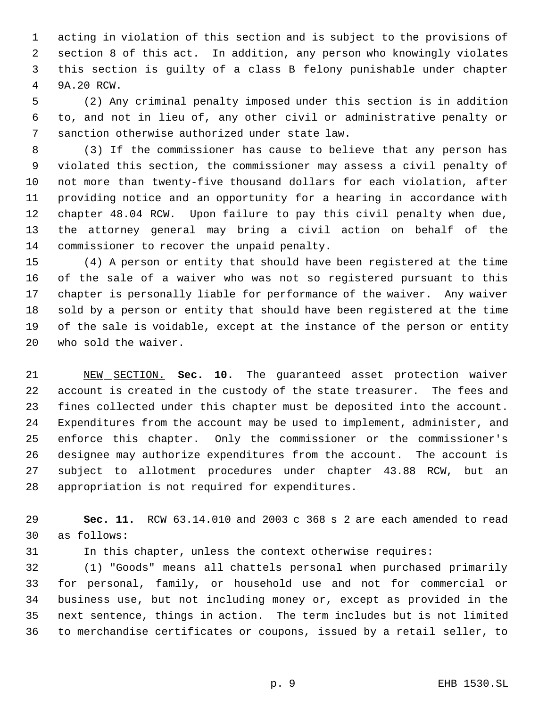acting in violation of this section and is subject to the provisions of section 8 of this act. In addition, any person who knowingly violates this section is guilty of a class B felony punishable under chapter 9A.20 RCW.

 (2) Any criminal penalty imposed under this section is in addition to, and not in lieu of, any other civil or administrative penalty or sanction otherwise authorized under state law.

 (3) If the commissioner has cause to believe that any person has violated this section, the commissioner may assess a civil penalty of not more than twenty-five thousand dollars for each violation, after providing notice and an opportunity for a hearing in accordance with chapter 48.04 RCW. Upon failure to pay this civil penalty when due, the attorney general may bring a civil action on behalf of the commissioner to recover the unpaid penalty.

 (4) A person or entity that should have been registered at the time of the sale of a waiver who was not so registered pursuant to this chapter is personally liable for performance of the waiver. Any waiver sold by a person or entity that should have been registered at the time of the sale is voidable, except at the instance of the person or entity who sold the waiver.

 NEW SECTION. **Sec. 10.** The guaranteed asset protection waiver account is created in the custody of the state treasurer. The fees and fines collected under this chapter must be deposited into the account. Expenditures from the account may be used to implement, administer, and enforce this chapter. Only the commissioner or the commissioner's designee may authorize expenditures from the account. The account is subject to allotment procedures under chapter 43.88 RCW, but an appropriation is not required for expenditures.

 **Sec. 11.** RCW 63.14.010 and 2003 c 368 s 2 are each amended to read as follows:

In this chapter, unless the context otherwise requires:

 (1) "Goods" means all chattels personal when purchased primarily for personal, family, or household use and not for commercial or business use, but not including money or, except as provided in the next sentence, things in action. The term includes but is not limited to merchandise certificates or coupons, issued by a retail seller, to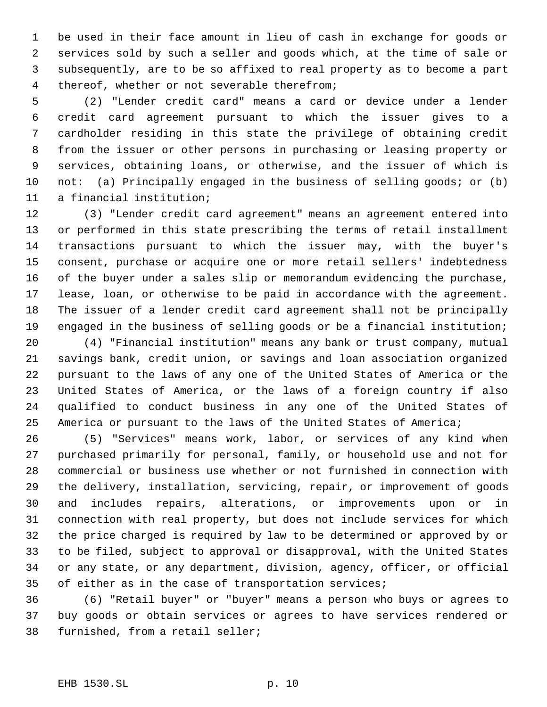be used in their face amount in lieu of cash in exchange for goods or services sold by such a seller and goods which, at the time of sale or subsequently, are to be so affixed to real property as to become a part thereof, whether or not severable therefrom;

 (2) "Lender credit card" means a card or device under a lender credit card agreement pursuant to which the issuer gives to a cardholder residing in this state the privilege of obtaining credit from the issuer or other persons in purchasing or leasing property or services, obtaining loans, or otherwise, and the issuer of which is 10 not: (a) Principally engaged in the business of selling goods; or (b) a financial institution;

 (3) "Lender credit card agreement" means an agreement entered into or performed in this state prescribing the terms of retail installment transactions pursuant to which the issuer may, with the buyer's consent, purchase or acquire one or more retail sellers' indebtedness of the buyer under a sales slip or memorandum evidencing the purchase, lease, loan, or otherwise to be paid in accordance with the agreement. The issuer of a lender credit card agreement shall not be principally engaged in the business of selling goods or be a financial institution;

 (4) "Financial institution" means any bank or trust company, mutual savings bank, credit union, or savings and loan association organized pursuant to the laws of any one of the United States of America or the United States of America, or the laws of a foreign country if also qualified to conduct business in any one of the United States of America or pursuant to the laws of the United States of America;

 (5) "Services" means work, labor, or services of any kind when purchased primarily for personal, family, or household use and not for commercial or business use whether or not furnished in connection with the delivery, installation, servicing, repair, or improvement of goods and includes repairs, alterations, or improvements upon or in connection with real property, but does not include services for which the price charged is required by law to be determined or approved by or to be filed, subject to approval or disapproval, with the United States or any state, or any department, division, agency, officer, or official 35 of either as in the case of transportation services;

 (6) "Retail buyer" or "buyer" means a person who buys or agrees to buy goods or obtain services or agrees to have services rendered or furnished, from a retail seller;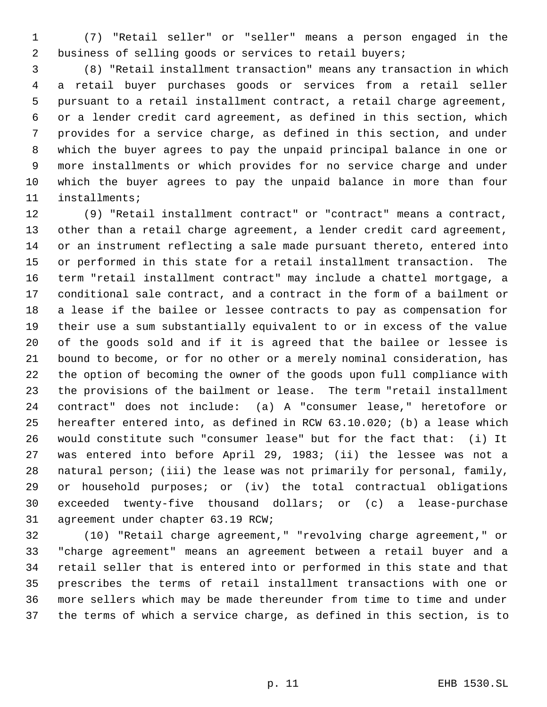(7) "Retail seller" or "seller" means a person engaged in the business of selling goods or services to retail buyers;

 (8) "Retail installment transaction" means any transaction in which a retail buyer purchases goods or services from a retail seller pursuant to a retail installment contract, a retail charge agreement, or a lender credit card agreement, as defined in this section, which provides for a service charge, as defined in this section, and under which the buyer agrees to pay the unpaid principal balance in one or more installments or which provides for no service charge and under which the buyer agrees to pay the unpaid balance in more than four installments;

 (9) "Retail installment contract" or "contract" means a contract, other than a retail charge agreement, a lender credit card agreement, or an instrument reflecting a sale made pursuant thereto, entered into or performed in this state for a retail installment transaction. The term "retail installment contract" may include a chattel mortgage, a conditional sale contract, and a contract in the form of a bailment or a lease if the bailee or lessee contracts to pay as compensation for their use a sum substantially equivalent to or in excess of the value of the goods sold and if it is agreed that the bailee or lessee is bound to become, or for no other or a merely nominal consideration, has the option of becoming the owner of the goods upon full compliance with the provisions of the bailment or lease. The term "retail installment contract" does not include: (a) A "consumer lease," heretofore or hereafter entered into, as defined in RCW 63.10.020; (b) a lease which would constitute such "consumer lease" but for the fact that: (i) It was entered into before April 29, 1983; (ii) the lessee was not a natural person; (iii) the lease was not primarily for personal, family, or household purposes; or (iv) the total contractual obligations exceeded twenty-five thousand dollars; or (c) a lease-purchase agreement under chapter 63.19 RCW;

 (10) "Retail charge agreement," "revolving charge agreement," or "charge agreement" means an agreement between a retail buyer and a retail seller that is entered into or performed in this state and that prescribes the terms of retail installment transactions with one or more sellers which may be made thereunder from time to time and under the terms of which a service charge, as defined in this section, is to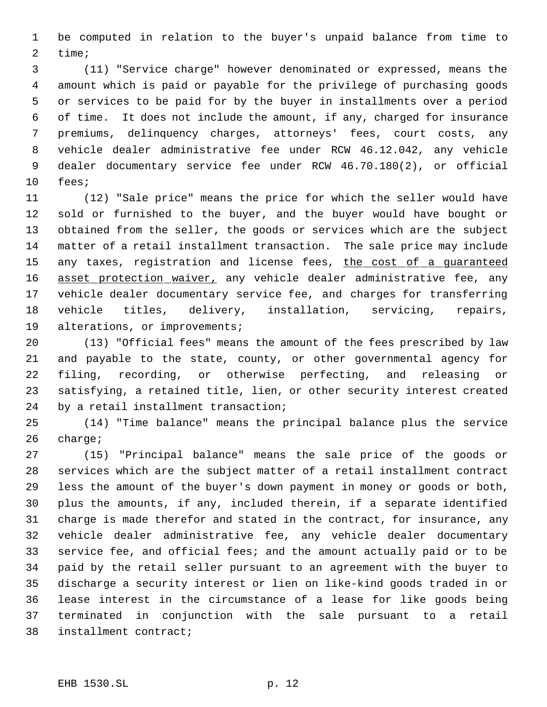be computed in relation to the buyer's unpaid balance from time to time;

 (11) "Service charge" however denominated or expressed, means the amount which is paid or payable for the privilege of purchasing goods or services to be paid for by the buyer in installments over a period of time. It does not include the amount, if any, charged for insurance premiums, delinquency charges, attorneys' fees, court costs, any vehicle dealer administrative fee under RCW 46.12.042, any vehicle dealer documentary service fee under RCW 46.70.180(2), or official fees;

 (12) "Sale price" means the price for which the seller would have sold or furnished to the buyer, and the buyer would have bought or obtained from the seller, the goods or services which are the subject matter of a retail installment transaction. The sale price may include 15 any taxes, registration and license fees, the cost of a guaranteed 16 asset protection waiver, any vehicle dealer administrative fee, any vehicle dealer documentary service fee, and charges for transferring vehicle titles, delivery, installation, servicing, repairs, alterations, or improvements;

 (13) "Official fees" means the amount of the fees prescribed by law and payable to the state, county, or other governmental agency for filing, recording, or otherwise perfecting, and releasing or satisfying, a retained title, lien, or other security interest created by a retail installment transaction;

 (14) "Time balance" means the principal balance plus the service charge;

 (15) "Principal balance" means the sale price of the goods or services which are the subject matter of a retail installment contract less the amount of the buyer's down payment in money or goods or both, plus the amounts, if any, included therein, if a separate identified charge is made therefor and stated in the contract, for insurance, any vehicle dealer administrative fee, any vehicle dealer documentary service fee, and official fees; and the amount actually paid or to be paid by the retail seller pursuant to an agreement with the buyer to discharge a security interest or lien on like-kind goods traded in or lease interest in the circumstance of a lease for like goods being terminated in conjunction with the sale pursuant to a retail installment contract;